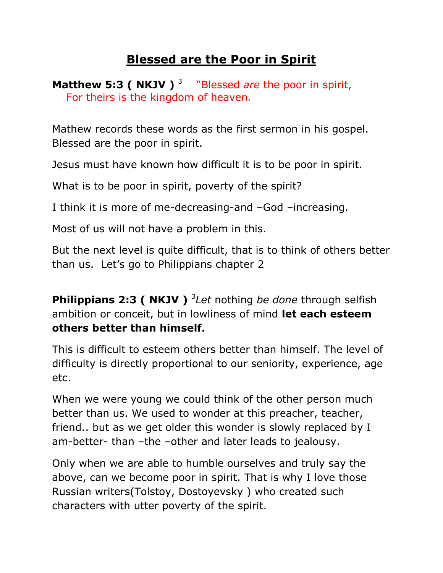## **Blessed are the Poor in Spirit**

**Matthew 5:3 ( NKJV )**<sup>3</sup> "Blessed *are* the poor in spirit, For theirs is the kingdom of heaven.

Mathew records these words as the first sermon in his gospel. Blessed are the poor in spirit.

Jesus must have known how difficult it is to be poor in spirit.

What is to be poor in spirit, poverty of the spirit?

I think it is more of me-decreasing-and –God –increasing.

Most of us will not have a problem in this.

But the next level is quite difficult, that is to think of others better than us. Let's go to Philippians chapter 2

**Philippians 2:3 ( NKJV )** <sup>3</sup> Let nothing *be done* through selfish ambition or conceit, but in lowliness of mind **let each esteem others better than himself.**

This is difficult to esteem others better than himself. The level of difficulty is directly proportional to our seniority, experience, age etc.

When we were young we could think of the other person much better than us. We used to wonder at this preacher, teacher, friend.. but as we get older this wonder is slowly replaced by I am-better- than –the –other and later leads to jealousy.

Only when we are able to humble ourselves and truly say the above, can we become poor in spirit. That is why I love those Russian writers(Tolstoy, Dostoyevsky ) who created such characters with utter poverty of the spirit.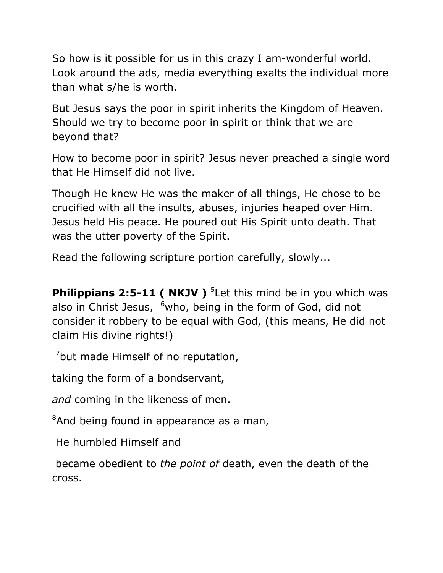So how is it possible for us in this crazy I am-wonderful world. Look around the ads, media everything exalts the individual more than what s/he is worth.

But Jesus says the poor in spirit inherits the Kingdom of Heaven. Should we try to become poor in spirit or think that we are beyond that?

How to become poor in spirit? Jesus never preached a single word that He Himself did not live.

Though He knew He was the maker of all things, He chose to be crucified with all the insults, abuses, injuries heaped over Him. Jesus held His peace. He poured out His Spirit unto death. That was the utter poverty of the Spirit.

Read the following scripture portion carefully, slowly...

**Philippians 2:5-11 ( NKJV )** <sup>5</sup> Let this mind be in you which was also in Christ Jesus,  $6$ who, being in the form of God, did not consider it robbery to be equal with God, (this means, He did not claim His divine rights!)

 $<sup>7</sup>$ but made Himself of no reputation,</sup>

taking the form of a bondservant,

*and* coming in the likeness of men.

<sup>8</sup>And being found in appearance as a man,

He humbled Himself and

became obedient to *the point of* death, even the death of the cross.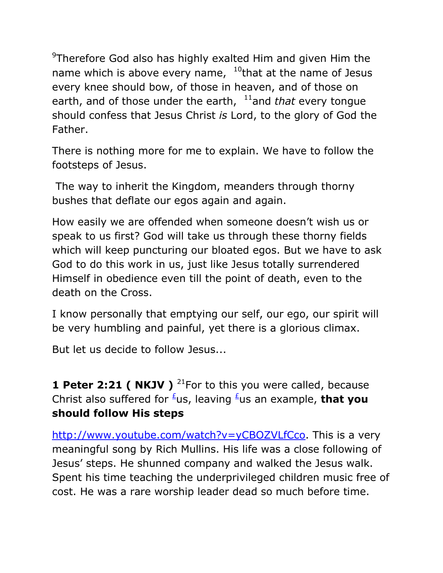<sup>9</sup>Therefore God also has highly exalted Him and given Him the name which is above every name,  $10$ that at the name of Jesus every knee should bow, of those in heaven, and of those on earth, and of those under the earth, <sup>11</sup>and *that* every tongue should confess that Jesus Christ *is* Lord, to the glory of God the Father.

There is nothing more for me to explain. We have to follow the footsteps of Jesus.

The way to inherit the Kingdom, meanders through thorny bushes that deflate our egos again and again.

How easily we are offended when someone doesn't wish us or speak to us first? God will take us through these thorny fields which will keep puncturing our bloated egos. But we have to ask God to do this work in us, just like Jesus totally surrendered Himself in obedience even till the point of death, even to the death on the Cross.

I know personally that emptying our self, our ego, our spirit will be very humbling and painful, yet there is a glorious climax.

But let us decide to follow Jesus...

**1 Peter 2:21 ( NKJV )** <sup>21</sup>For to this you were called, because Christ also suffered for <sup>*L*</sup>us, leaving <sup>*L*</sup>us an example, **that you should follow His steps**

[http://www.youtube.com/watch?v=yCBOZVLfCco.](http://www.youtube.com/watch?v=yCBOZVLfCco) This is a very meaningful song by Rich Mullins. His life was a close following of Jesus' steps. He shunned company and walked the Jesus walk. Spent his time teaching the underprivileged children music free of cost. He was a rare worship leader dead so much before time.